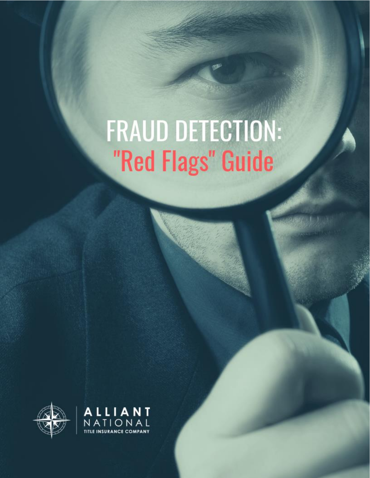# FRAUD DETECTION: "Red Flags" Guide



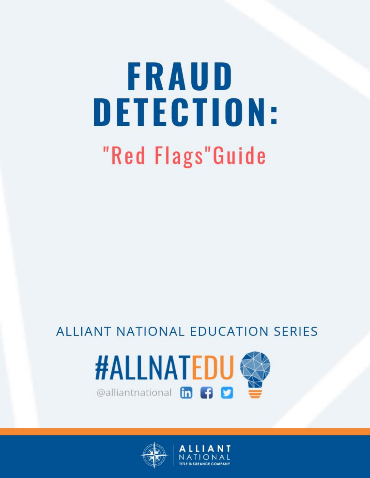# FRAUD **DETECTION:** "Red Flags"Guide

## ALLIANT NATIONAL EDUCATION SERIES





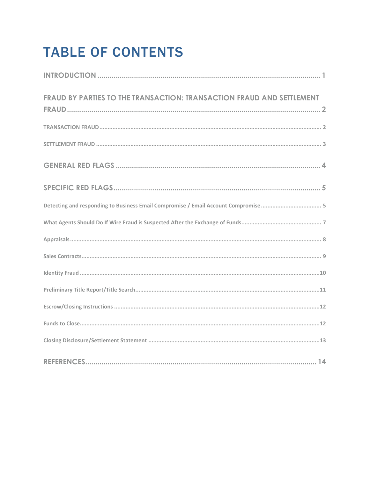# **TABLE OF CONTENTS**

| FRAUD BY PARTIES TO THE TRANSACTION: TRANSACTION FRAUD AND SETTLEMENT               |
|-------------------------------------------------------------------------------------|
|                                                                                     |
|                                                                                     |
|                                                                                     |
|                                                                                     |
| Detecting and responding to Business Email Compromise / Email Account Compromise  5 |
|                                                                                     |
|                                                                                     |
|                                                                                     |
|                                                                                     |
|                                                                                     |
|                                                                                     |
|                                                                                     |
|                                                                                     |
|                                                                                     |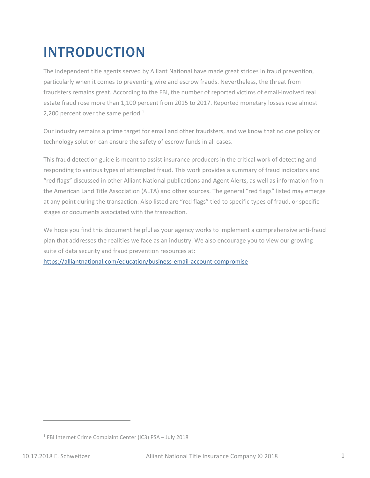## <span id="page-3-0"></span>INTRODUCTION

The independent title agents served by Alliant National have made great strides in fraud prevention, particularly when it comes to preventing wire and escrow frauds. Nevertheless, the threat from fraudsters remains great. According to the FBI, the number of reported victims of email-involved real estate fraud rose more than 1,100 percent from 2015 to 2017. Reported monetary losses rose almost 2,200 percent over the same period.<sup>1</sup>

Our industry remains a prime target for email and other fraudsters, and we know that no one policy or technology solution can ensure the safety of escrow funds in all cases.

This fraud detection guide is meant to assist insurance producers in the critical work of detecting and responding to various types of attempted fraud. This work provides a summary of fraud indicators and "red flags" discussed in other Alliant National publications and Agent Alerts, as well as information from the American Land Title Association (ALTA) and other sources. The general "red flags" listed may emerge at any point during the transaction. Also listed are "red flags" tied to specific types of fraud, or specific stages or documents associated with the transaction.

We hope you find this document helpful as your agency works to implement a comprehensive anti-fraud plan that addresses the realities we face as an industry. We also encourage you to view our growing suite of data security and fraud prevention resources at:

<https://alliantnational.com/education/business-email-account-compromise>

<sup>&</sup>lt;sup>1</sup> FBI Internet Crime Complaint Center (IC3) PSA - July 2018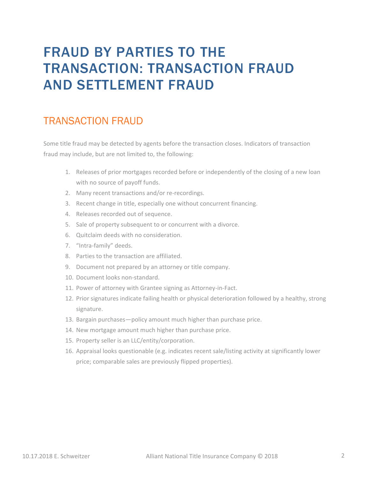## <span id="page-4-0"></span>FRAUD BY PARTIES TO THE TRANSACTION: TRANSACTION FRAUD AND SETTLEMENT FRAUD

#### <span id="page-4-1"></span>TRANSACTION FRAUD

Some title fraud may be detected by agents before the transaction closes. Indicators of transaction fraud may include, but are not limited to, the following:

- 1. Releases of prior mortgages recorded before or independently of the closing of a new loan with no source of payoff funds.
- 2. Many recent transactions and/or re-recordings.
- 3. Recent change in title, especially one without concurrent financing.
- 4. Releases recorded out of sequence.
- 5. Sale of property subsequent to or concurrent with a divorce.
- 6. Quitclaim deeds with no consideration.
- 7. "Intra-family" deeds.
- 8. Parties to the transaction are affiliated.
- 9. Document not prepared by an attorney or title company.
- 10. Document looks non-standard.
- 11. Power of attorney with Grantee signing as Attorney-in-Fact.
- 12. Prior signatures indicate failing health or physical deterioration followed by a healthy, strong signature.
- 13. Bargain purchases—policy amount much higher than purchase price.
- 14. New mortgage amount much higher than purchase price.
- 15. Property seller is an LLC/entity/corporation.
- <span id="page-4-2"></span>16. Appraisal looks questionable (e.g. indicates recent sale/listing activity at significantly lower price; comparable sales are previously flipped properties).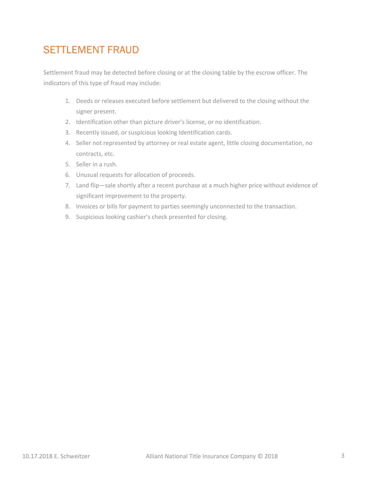#### SETTLEMENT FRAUD

Settlement fraud may be detected before closing or at the closing table by the escrow officer. The indicators of this type of fraud may include:

- 1. Deeds or releases executed before settlement but delivered to the closing without the signer present.
- 2. Identification other than picture driver's license, or no identification.
- 3. Recently issued, or suspicious looking Identification cards.
- 4. Seller not represented by attorney or real estate agent, little closing documentation, no contracts, etc.
- 5. Seller in a rush.
- 6. Unusual requests for allocation of proceeds.
- 7. Land flip—sale shortly after a recent purchase at a much higher price without evidence of significant improvement to the property.
- 8. Invoices or bills for payment to parties seemingly unconnected to the transaction.
- <span id="page-5-0"></span>9. Suspicious looking cashier's check presented for closing.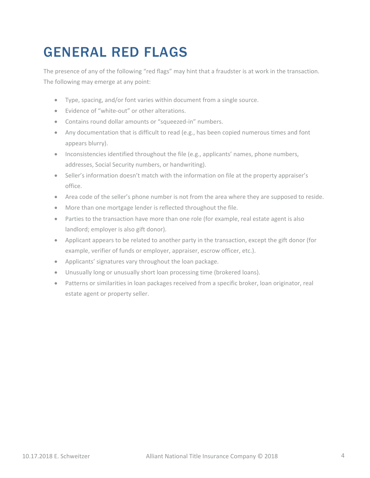## GENERAL RED FLAGS

The presence of any of the following "red flags" may hint that a fraudster is at work in the transaction. The following may emerge at any point:

- Type, spacing, and/or font varies within document from a single source.
- Evidence of "white-out" or other alterations.
- Contains round dollar amounts or "squeezed-in" numbers.
- Any documentation that is difficult to read (e.g., has been copied numerous times and font appears blurry).
- Inconsistencies identified throughout the file (e.g., applicants' names, phone numbers, addresses, Social Security numbers, or handwriting).
- Seller's information doesn't match with the information on file at the property appraiser's office.
- Area code of the seller's phone number is not from the area where they are supposed to reside.
- More than one mortgage lender is reflected throughout the file.
- Parties to the transaction have more than one role (for example, real estate agent is also landlord; employer is also gift donor).
- Applicant appears to be related to another party in the transaction, except the gift donor (for example, verifier of funds or employer, appraiser, escrow officer, etc.).
- Applicants' signatures vary throughout the loan package.
- Unusually long or unusually short loan processing time (brokered loans).
- <span id="page-6-0"></span>• Patterns or similarities in loan packages received from a specific broker, loan originator, real estate agent or property seller.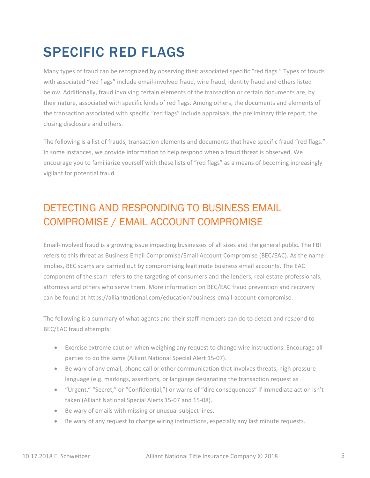## SPECIFIC RED FLAGS

Many types of fraud can be recognized by observing their associated specific "red flags." Types of frauds with associated "red flags" include email-involved fraud, wire fraud, identity fraud and others listed below. Additionally, fraud involving certain elements of the transaction or certain documents are, by their nature, associated with specific kinds of red flags. Among others, the documents and elements of the transaction associated with specific "red flags" include appraisals, the preliminary title report, the closing disclosure and others.

The following is a list of frauds, transaction elements and documents that have specific fraud "red flags." In some instances, we provide information to help respond when a fraud threat is observed. We encourage you to familiarize yourself with these lists of "red flags" as a means of becoming increasingly vigilant for potential fraud.

### <span id="page-7-0"></span>DETECTING AND RESPONDING TO BUSINESS EMAIL COMPROMISE / EMAIL ACCOUNT COMPROMISE

Email-involved fraud is a growing issue impacting businesses of all sizes and the general public. The FBI refers to this threat as Business Email Compromise/Email Account Compromise (BEC/EAC). As the name implies, BEC scams are carried out by compromising legitimate business email accounts. The EAC component of the scam refers to the targeting of consumers and the lenders, real estate professionals, attorneys and others who serve them. More information on BEC/EAC fraud prevention and recovery can be found at [https://alliantnational.com/education/business-email-account-compromise.](Email-involved fraud is a growing issue impacting businesses of all sizes and the general public. The FBI refers to this threat as Business Email Compromise/Email Account Compromise (BEC/EAC). As the name implies, BEC scams are carried out by compromising legitimate business email accounts. The EAC component of the scam refers to the targeting of consumers and the lenders, real estate professionals, attorneys and others who serve them. More information on BEC/EAC fraud prevention and recovery can be found at https://alliantnational.com/education/business-email-account-compromise.)

The following is a summary of what agents and their staff members can do to detect and respond to BEC/EAC fraud attempts:

- Exercise extreme caution when weighing any request to change wire instructions. Encourage all parties to do the same (Alliant National Special Alert 15-07).
- Be wary of any email, phone call or other communication that involves threats, high pressure language (e.g. markings, assertions, or language designating the transaction request as
- "Urgent," "Secret," or "Confidential,") or warns of "dire consequences" if immediate action isn't taken (Alliant National Special Alerts 15-07 and 15-08).
- Be wary of emails with missing or unusual subject lines.
- Be wary of any request to change wiring instructions, especially any last minute requests.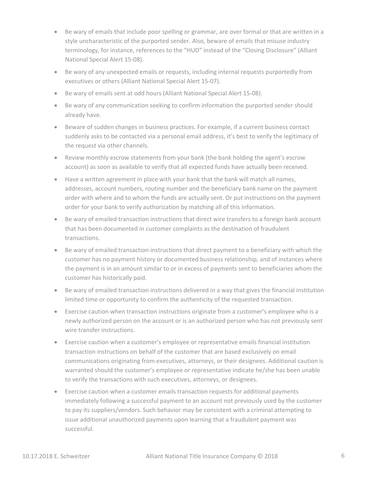- Be wary of emails that include poor spelling or grammar, are over formal or that are written in a style uncharacteristic of the purported sender. Also, beware of emails that misuse industry terminology, for instance, references to the "HUD" instead of the "Closing Disclosure" (Alliant National Special Alert 15-08).
- Be wary of any unexpected emails or requests, including internal requests purportedly from executives or others (Alliant National Special Alert 15-07).
- Be wary of emails sent at odd hours (Alliant National Special Alert 15-08).
- Be wary of any communication seeking to confirm information the purported sender should already have.
- Beware of sudden changes in business practices. For example, if a current business contact suddenly asks to be contacted via a personal email address, it's best to verify the legitimacy of the request via other channels.
- Review monthly escrow statements from your bank (the bank holding the agent's escrow account) as soon as available to verify that all expected funds have actually been received.
- Have a written agreement in place with your bank that the bank will match all names, addresses, account numbers, routing number and the beneficiary bank name on the payment order with where and to whom the funds are actually sent. Or put instructions on the payment order for your bank to verify authorization by matching all of this information.
- Be wary of emailed transaction instructions that direct wire transfers to a foreign bank account that has been documented in customer complaints as the destination of fraudulent transactions.
- Be wary of emailed transaction instructions that direct payment to a beneficiary with which the customer has no payment history or documented business relationship, and of instances where the payment is in an amount similar to or in excess of payments sent to beneficiaries whom the customer has historically paid.
- Be wary of emailed transaction instructions delivered in a way that gives the financial institution limited time or opportunity to confirm the authenticity of the requested transaction.
- Exercise caution when transaction instructions originate from a customer's employee who is a newly authorized person on the account or is an authorized person who has not previously sent wire transfer instructions.
- Exercise caution when a customer's employee or representative emails financial institution transaction instructions on behalf of the customer that are based exclusively on email communications originating from executives, attorneys, or their designees. Additional caution is warranted should the customer's employee or representative indicate he/she has been unable to verify the transactions with such executives, attorneys, or designees.
- Exercise caution when a customer emails transaction requests for additional payments immediately following a successful payment to an account not previously used by the customer to pay its suppliers/vendors. Such behavior may be consistent with a criminal attempting to issue additional unauthorized payments upon learning that a fraudulent payment was successful.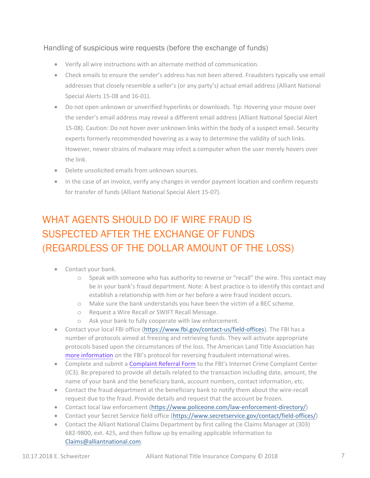#### Handling of suspicious wire requests (before the exchange of funds)

- Verify all wire instructions with an alternate method of communication.
- Check emails to ensure the sender's address has not been altered. Fraudsters typically use email addresses that closely resemble a seller's (or any party's) actual email address (Alliant National Special Alerts 15-08 and 16-01).
- Do not open unknown or unverified hyperlinks or downloads. Tip: Hovering your mouse over the sender's email address may reveal a different email address (Alliant National Special Alert 15-08). Caution: Do not hover over unknown links within the body of a suspect email. Security experts formerly recommended hovering as a way to determine the validity of such links. However, newer strains of malware may infect a computer when the user merely hovers over the link.
- Delete unsolicited emails from unknown sources.
- In the case of an invoice, verify any changes in vendor payment location and confirm requests for transfer of funds (Alliant National Special Alert 15-07).

### <span id="page-9-0"></span>WHAT AGENTS SHOULD DO IF WIRE FRAUD IS SUSPECTED AFTER THE EXCHANGE OF FUNDS (REGARDLESS OF THE DOLLAR AMOUNT OF THE LOSS)

- Contact your bank.
	- o Speak with someone who has authority to reverse or "recall" the wire. This contact may be in your bank's fraud department. Note: A best practice is to identify this contact and establish a relationship with him or her before a wire fraud incident occurs.
	- o Make sure the bank understands you have been the victim of a BEC scheme.
	- o Request a Wire Recall or SWIFT Recall Message.
	- o Ask your bank to fully cooperate with law enforcement.
- Contact your local FBI office [\(https://www.fbi.gov/contact-us/field-offices\).](https://www.fbi.gov/contact-us/field-offices) The FBI has a number of protocols aimed at freezing and retrieving funds. They will activate appropriate protocols based upon the circumstances of the loss. The American Land Title Association has [more information](https://www.alta.org/news/news.cfm?20190131-Hit-by-Wire-Transfer-Fraud-Use-the-Kill-Chain-Process) on the FBI's protocol for reversing fraudulent international wires.
- Complete and submit a [Complaint Referral Form](https://bec.ic3.gov) to the FBI's Internet Crime Complaint Center (IC3). Be prepared to provide all details related to the transaction including date, amount, the name of your bank and the beneficiary bank, account numbers, contact information, etc.
- Contact the fraud department at the beneficiary bank to notify them about the wire-recall request due to the fraud. Provide details and request that the account be frozen.
- Contact local law enforcement [\(https://www.policeone.com/law-enforcement-directory/\)](https://www.policeone.com/law-enforcement-directory/)
- Contact your Secret Service field office [\(https://www.secretservice.gov/contact/field-offices/\)](https://www.secretservice.gov/contact/field-offices/)
- Contact the Alliant National Claims Department by first calling the Claims Manager at (303) [682-9800, ext. 425, and then](mailto:Claims@alliantnational.com) follow up by emailing applicable information to Claims@alliantnational.com.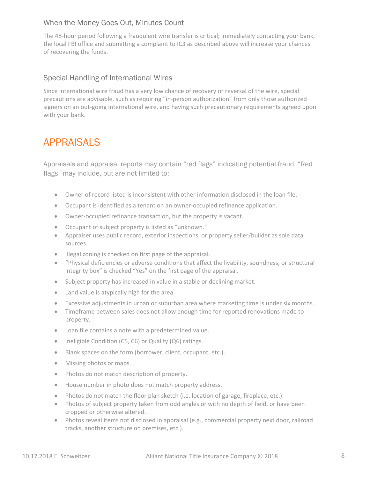#### When the Money Goes Out, Minutes Count

The 48-hour period following a fraudulent wire transfer is critical; immediately contacting your bank, the local FBI office and submitting a complaint to IC3 as described above will increase your chances of recovering the funds.

#### Special Handling of International Wires

<span id="page-10-0"></span>Since international wire fraud has a very low chance of recovery or reversal of the wire, special precautions are advisable, such as requiring "in-person authorization" from only those authorized signers on an out-going international wire, and having such precautionary requirements agreed upon with your bank.

#### APPRAISALS

Appraisals and appraisal reports may contain "red flags" indicating potential fraud. "Red flags" may include, but are not limited to:

- Owner of record listed is inconsistent with other information disclosed in the loan file.
- Occupant is identified as a tenant on an owner-occupied refinance application.
- Owner-occupied refinance transaction, but the property is vacant.
- Occupant of subject property is listed as "unknown."
- Appraiser uses public record, exterior inspections, or property seller/builder as sole data sources.
- Illegal zoning is checked on first page of the appraisal.
- "Physical deficiencies or adverse conditions that affect the livability, soundness, or structural integrity box" is checked "Yes" on the first page of the appraisal.
- Subject property has increased in value in a stable or declining market.
- Land value is atypically high for the area.
- Excessive adjustments in urban or suburban area where marketing time is under six months.
- Timeframe between sales does not allow enough time for reported renovations made to property.
- Loan file contains a note with a predetermined value.
- Ineligible Condition (C5, C6) or Quality (Q6) ratings.
- Blank spaces on the form (borrower, client, occupant, etc.).
- Missing photos or maps.
- Photos do not match description of property.
- House number in photo does not match property address.
- Photos do not match the floor plan sketch (i.e. location of garage, fireplace, etc.).
- Photos of subject property taken from odd angles or with no depth of field, or have been cropped or otherwise altered.
- Photos reveal items not disclosed in appraisal (e.g., commercial property next door, railroad tracks, another structure on premises, etc.).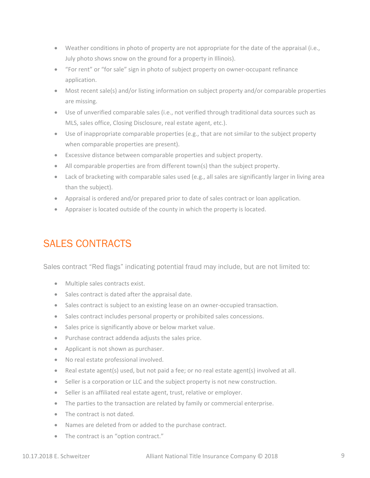- Weather conditions in photo of property are not appropriate for the date of the appraisal (i.e., July photo shows snow on the ground for a property in Illinois).
- "For rent" or "for sale" sign in photo of subject property on owner-occupant refinance application.
- Most recent sale(s) and/or listing information on subject property and/or comparable properties are missing.
- Use of unverified comparable sales (i.e., not verified through traditional data sources such as MLS, sales office, Closing Disclosure, real estate agent, etc.).
- Use of inappropriate comparable properties (e.g., that are not similar to the subject property when comparable properties are present).
- Excessive distance between comparable properties and subject property.
- All comparable properties are from different town(s) than the subject property.
- Lack of bracketing with comparable sales used (e.g., all sales are significantly larger in living area than the subject).
- Appraisal is ordered and/or prepared prior to date of sales contract or loan application.
- Appraiser is located outside of the county in which the property is located.

#### <span id="page-11-0"></span>SALES CONTRACTS

Sales contract "Red flags" indicating potential fraud may include, but are not limited to:

- Multiple sales contracts exist.
- Sales contract is dated after the appraisal date.
- Sales contract is subject to an existing lease on an owner-occupied transaction.
- Sales contract includes personal property or prohibited sales concessions.
- Sales price is significantly above or below market value.
- Purchase contract addenda adjusts the sales price.
- Applicant is not shown as purchaser.
- No real estate professional involved.
- Real estate agent(s) used, but not paid a fee; or no real estate agent(s) involved at all.
- Seller is a corporation or LLC and the subject property is not new construction.
- Seller is an affiliated real estate agent, trust, relative or employer.
- The parties to the transaction are related by family or commercial enterprise.
- The contract is not dated.
- Names are deleted from or added to the purchase contract.
- The contract is an "option contract."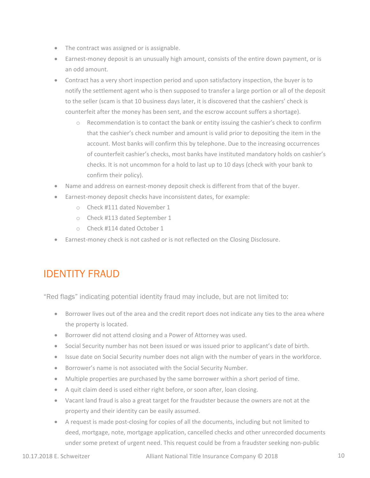- The contract was assigned or is assignable.
- Earnest-money deposit is an unusually high amount, consists of the entire down payment, or is an odd amount.
- Contract has a very short inspection period and upon satisfactory inspection, the buyer is to notify the settlement agent who is then supposed to transfer a large portion or all of the deposit to the seller (scam is that 10 business days later, it is discovered that the cashiers' check is counterfeit after the money has been sent, and the escrow account suffers a shortage).
	- o Recommendation is to contact the bank or entity issuing the cashier's check to confirm that the cashier's check number and amount is valid prior to depositing the item in the account. Most banks will confirm this by telephone. Due to the increasing occurrences of counterfeit cashier's checks, most banks have instituted mandatory holds on cashier's checks. It is not uncommon for a hold to last up to 10 days (check with your bank to confirm their policy).
- Name and address on earnest-money deposit check is different from that of the buyer.
- Earnest-money deposit checks have inconsistent dates, for example:
	- o Check #111 dated November 1
	- o Check #113 dated September 1
	- o Check #114 dated October 1
- Earnest-money check is not cashed or is not reflected on the Closing Disclosure.

#### <span id="page-12-0"></span>IDENTITY FRAUD

"Red flags" indicating potential identity fraud may include, but are not limited to:

- Borrower lives out of the area and the credit report does not indicate any ties to the area where the property is located.
- Borrower did not attend closing and a Power of Attorney was used.
- Social Security number has not been issued or was issued prior to applicant's date of birth.
- Issue date on Social Security number does not align with the number of years in the workforce.
- Borrower's name is not associated with the Social Security Number.
- Multiple properties are purchased by the same borrower within a short period of time.
- A quit claim deed is used either right before, or soon after, loan closing.
- Vacant land fraud is also a great target for the fraudster because the owners are not at the property and their identity can be easily assumed.
- A request is made post-closing for copies of all the documents, including but not limited to deed, mortgage, note, mortgage application, cancelled checks and other unrecorded documents under some pretext of urgent need. This request could be from a fraudster seeking non-public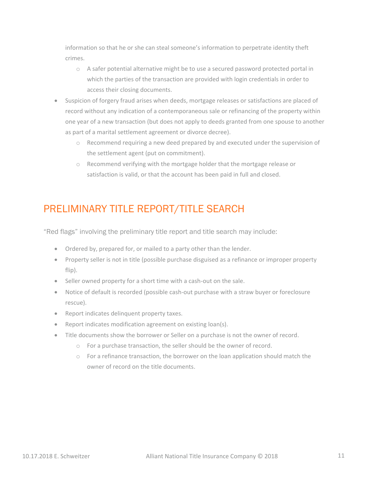information so that he or she can steal someone's information to perpetrate identity theft crimes.

- o A safer potential alternative might be to use a secured password protected portal in which the parties of the transaction are provided with login credentials in order to access their closing documents.
- Suspicion of forgery fraud arises when deeds, mortgage releases or satisfactions are placed of record without any indication of a contemporaneous sale or refinancing of the property within one year of a new transaction (but does not apply to deeds granted from one spouse to another as part of a marital settlement agreement or divorce decree).
	- o Recommend requiring a new deed prepared by and executed under the supervision of the settlement agent (put on commitment).
	- o Recommend verifying with the mortgage holder that the mortgage release or satisfaction is valid, or that the account has been paid in full and closed.

#### <span id="page-13-0"></span>PRELIMINARY TITLE REPORT/TITLE SEARCH

"Red flags" involving the preliminary title report and title search may include:

- Ordered by, prepared for, or mailed to a party other than the lender.
- Property seller is not in title (possible purchase disguised as a refinance or improper property flip).
- Seller owned property for a short time with a cash-out on the sale.
- Notice of default is recorded (possible cash-out purchase with a straw buyer or foreclosure rescue).
- Report indicates delinquent property taxes.
- Report indicates modification agreement on existing loan(s).
- <span id="page-13-1"></span>• Title documents show the borrower or Seller on a purchase is not the owner of record.
	- o For a purchase transaction, the seller should be the owner of record.
	- $\circ$  For a refinance transaction, the borrower on the loan application should match the owner of record on the title documents.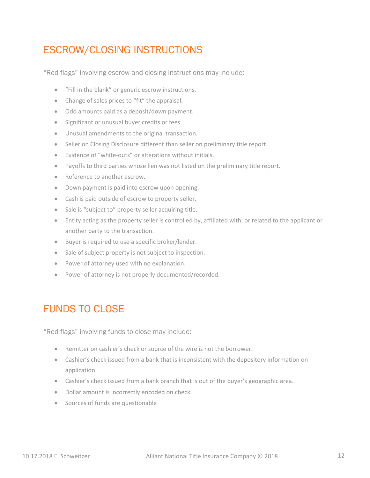#### ESCROW/CLOSING INSTRUCTIONS

"Red flags" involving escrow and closing instructions may include:

- "Fill in the blank" or generic escrow instructions.
- Change of sales prices to "fit" the appraisal.
- Odd amounts paid as a deposit/down payment.
- Significant or unusual buyer credits or fees.
- Unusual amendments to the original transaction.
- Seller on Closing Disclosure different than seller on preliminary title report.
- Evidence of "white-outs" or alterations without initials.
- Payoffs to third parties whose lien was not listed on the preliminary title report.
- Reference to another escrow.
- Down payment is paid into escrow upon opening.
- Cash is paid outside of escrow to property seller.
- Sale is "subject to" property seller acquiring title.
- Entity acting as the property seller is controlled by, affiliated with, or related to the applicant or another party to the transaction.
- Buyer is required to use a specific broker/lender.
- Sale of subject property is not subject to inspection.
- Power of attorney used with no explanation.
- Power of attorney is not properly documented/recorded.

#### <span id="page-14-0"></span>FUNDS TO CLOSE

"Red flags" involving funds to close may include:

- Remitter on cashier's check or source of the wire is not the borrower.
- Cashier's check issued from a bank that is inconsistent with the depository information on application.
- Cashier's check issued from a bank branch that is out of the buyer's geographic area.
- Dollar amount is incorrectly encoded on check.
- <span id="page-14-1"></span>• Sources of funds are questionable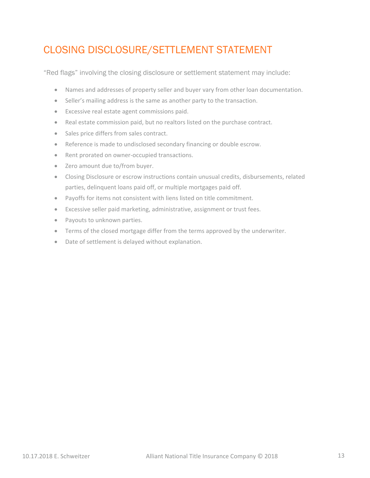### CLOSING DISCLOSURE/SETTLEMENT STATEMENT

"Red flags" involving the closing disclosure or settlement statement may include:

- Names and addresses of property seller and buyer vary from other loan documentation.
- Seller's mailing address is the same as another party to the transaction.
- Excessive real estate agent commissions paid.
- Real estate commission paid, but no realtors listed on the purchase contract.
- Sales price differs from sales contract.
- Reference is made to undisclosed secondary financing or double escrow.
- Rent prorated on owner-occupied transactions.
- Zero amount due to/from buyer.
- Closing Disclosure or escrow instructions contain unusual credits, disbursements, related parties, delinquent loans paid off, or multiple mortgages paid off.
- Payoffs for items not consistent with liens listed on title commitment.
- Excessive seller paid marketing, administrative, assignment or trust fees.
- Payouts to unknown parties.
- Terms of the closed mortgage differ from the terms approved by the underwriter.
- Date of settlement is delayed without explanation.